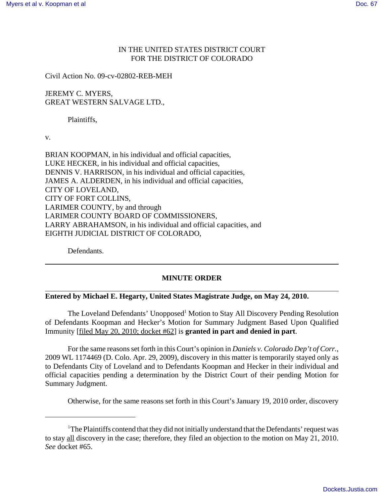## IN THE UNITED STATES DISTRICT COURT FOR THE DISTRICT OF COLORADO

Civil Action No. 09-cv-02802-REB-MEH

JEREMY C. MYERS, GREAT WESTERN SALVAGE LTD.,

Plaintiffs,

v.

BRIAN KOOPMAN, in his individual and official capacities, LUKE HECKER, in his individual and official capacities, DENNIS V. HARRISON, in his individual and official capacities, JAMES A. ALDERDEN, in his individual and official capacities, CITY OF LOVELAND, CITY OF FORT COLLINS, LARIMER COUNTY, by and through LARIMER COUNTY BOARD OF COMMISSIONERS, LARRY ABRAHAMSON, in his individual and official capacities, and EIGHTH JUDICIAL DISTRICT OF COLORADO,

Defendants.

## **MINUTE ORDER**

## **Entered by Michael E. Hegarty, United States Magistrate Judge, on May 24, 2010.**

The Loveland Defendants' Unopposed<sup>1</sup> Motion to Stay All Discovery Pending Resolution of Defendants Koopman and Hecker's Motion for Summary Judgment Based Upon Qualified Immunity [filed May 20, 2010; docket #62] is **granted in part and denied in part**.

For the same reasons set forth in this Court's opinion in *Daniels v. Colorado Dep't of Corr.*, 2009 WL 1174469 (D. Colo. Apr. 29, 2009), discovery in this matter is temporarily stayed only as to Defendants City of Loveland and to Defendants Koopman and Hecker in their individual and official capacities pending a determination by the District Court of their pending Motion for Summary Judgment.

Otherwise, for the same reasons set forth in this Court's January 19, 2010 order, discovery

<sup>&</sup>lt;sup>1</sup>The Plaintiffs contend that they did not initially understand that the Defendants' request was to stay all discovery in the case; therefore, they filed an objection to the motion on May 21, 2010. *See* docket #65.